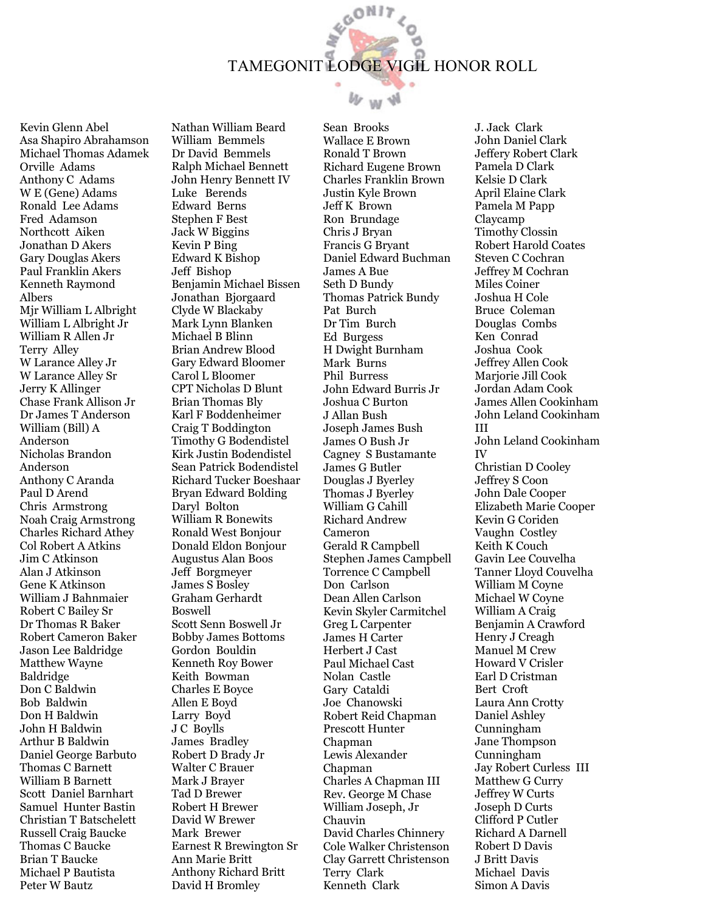## GON17 TAMEGONIT LODGE VIGIL HONOR ROLL

 $W_W W$ 

Kevin Glenn Abel Asa Shapiro Abrahamson Michael Thomas Adamek Orville Adams Anthony C Adams W E (Gene) Adams Ronald Lee Adams Fred Adamson Northcott Aiken Jonathan D Akers Gary Douglas Akers Paul Franklin Akers Kenneth Raymond Albers Mjr William L Albright William L Albright Jr William R Allen Jr Terry Alley W Larance Alley Jr W Larance Alley Sr Jerry K Allinger Chase Frank Allison Jr Dr James T Anderson William (Bill) A Anderson Nicholas Brandon Anderson Anthony C Aranda Paul D Arend Chris Armstrong Noah Craig Armstrong Charles Richard Athey Col Robert A Atkins Jim C Atkinson Alan J Atkinson Gene K Atkinson William J Bahnmaier Robert C Bailey Sr Dr Thomas R Baker Robert Cameron Baker Jason Lee Baldridge Matthew Wayne Baldridge Don C Baldwin Bob Baldwin Don H Baldwin John H Baldwin Arthur B Baldwin Daniel George Barbuto Thomas C Barnett William B Barnett Scott Daniel Barnhart Samuel Hunter Bastin Christian T Batschelett Russell Craig Baucke Thomas C Baucke Brian T Baucke Michael P Bautista Peter W Bautz

Nathan William Beard William Bemmels Dr David Bemmels Ralph Michael Bennett John Henry Bennett IV Luke Berends Edward Berns Stephen F Best Jack W Biggins Kevin P Bing Edward K Bishop Jeff Bishop Benjamin Michael Bissen Jonathan Bjorgaard Clyde W Blackaby Mark Lynn Blanken Michael B Blinn Brian Andrew Blood Gary Edward Bloomer Carol L Bloomer CPT Nicholas D Blunt Brian Thomas Bly Karl F Boddenheimer Craig T Boddington Timothy G Bodendistel Kirk Justin Bodendistel Sean Patrick Bodendistel Richard Tucker Boeshaar Bryan Edward Bolding Daryl Bolton William R Bonewits Ronald West Bonjour Donald Eldon Bonjour Augustus Alan Boos Jeff Borgmeyer James S Bosley Graham Gerhardt Boswell Scott Senn Boswell Jr Bobby James Bottoms Gordon Bouldin Kenneth Roy Bower Keith Bowman Charles E Boyce Allen E Boyd Larry Boyd J C Boylls James Bradley Robert D Brady Jr Walter C Brauer Mark J Brayer Tad D Brewer Robert H Brewer David W Brewer Mark Brewer Earnest R Brewington Sr Ann Marie Britt Anthony Richard Britt David H Bromley

Sean Brooks Wallace E Brown Ronald T Brown Richard Eugene Brown Charles Franklin Brown Justin Kyle Brown Jeff K Brown Ron Brundage Chris J Bryan Francis G Bryant Daniel Edward Buchman James A Bue Seth D Bundy Thomas Patrick Bundy Pat Burch Dr Tim Burch Ed Burgess H Dwight Burnham Mark Burns Phil Burress John Edward Burris Jr Joshua C Burton J Allan Bush Joseph James Bush James O Bush Jr Cagney S Bustamante James G Butler Douglas J Byerley Thomas J Byerley William G Cahill Richard Andrew Cameron Gerald R Campbell Stephen James Campbell Torrence C Campbell Don Carlson Dean Allen Carlson Kevin Skyler Carmitchel Greg L Carpenter James H Carter Herbert J Cast Paul Michael Cast Nolan Castle Gary Cataldi Joe Chanowski Robert Reid Chapman Prescott Hunter Chapman Lewis Alexander Chapman Charles A Chapman III Rev. George M Chase William Joseph, Jr Chauvin David Charles Chinnery Cole Walker Christenson Clay Garrett Christenson Terry Clark Kenneth Clark

J. Jack Clark John Daniel Clark Jeffery Robert Clark Pamela D Clark Kelsie D Clark April Elaine Clark Pamela M Papp Claycamp Timothy Clossin Robert Harold Coates Steven C Cochran Jeffrey M Cochran Miles Coiner Joshua H Cole Bruce Coleman Douglas Combs Ken Conrad Joshua Cook Jeffrey Allen Cook Marjorie Jill Cook Jordan Adam Cook James Allen Cookinham John Leland Cookinham III John Leland Cookinham IV Christian D Cooley Jeffrey S Coon John Dale Cooper Elizabeth Marie Cooper Kevin G Coriden Vaughn Costley Keith K Couch Gavin Lee Couvelha Tanner Lloyd Couvelha William M Coyne Michael W Coyne William A Craig Benjamin A Crawford Henry J Creagh Manuel M Crew Howard V Crisler Earl D Cristman Bert Croft Laura Ann Crotty Daniel Ashley Cunningham Jane Thompson Cunningham Jay Robert Curless III Matthew G Curry Jeffrey W Curts Joseph D Curts Clifford P Cutler Richard A Darnell Robert D Davis J Britt Davis Michael Davis Simon A Davis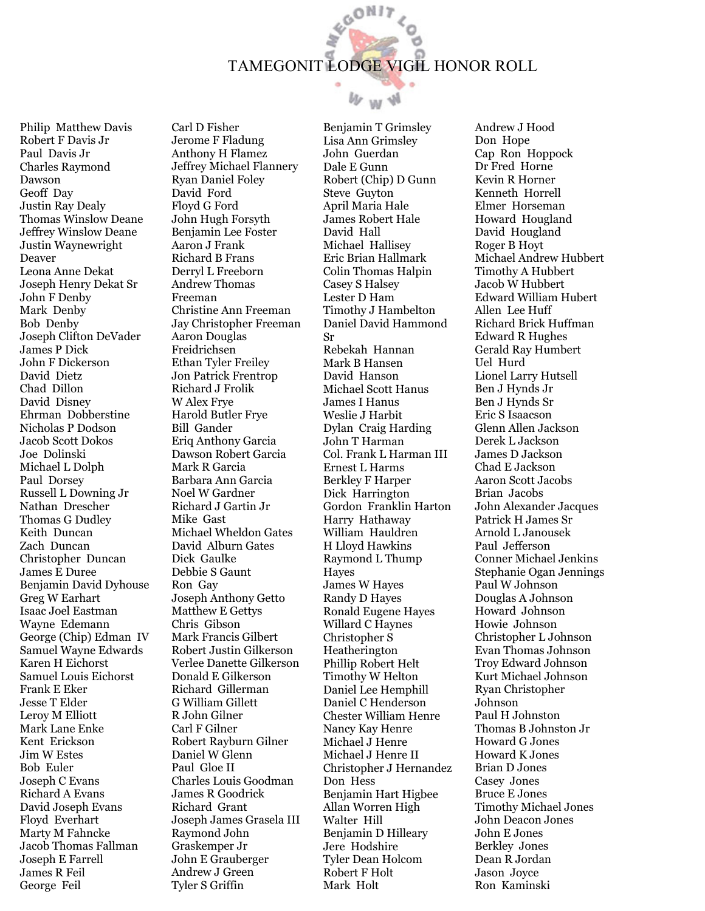## GON17 TAMEGONIT LODGE VIGIL HONOR ROLL

 $W_W W$ 

Philip Matthew Davis Robert F Davis Jr Paul Davis Jr Charles Raymond Dawson Geoff Day Justin Ray Dealy Thomas Winslow Deane Jeffrey Winslow Deane Justin Waynewright Deaver Leona Anne Dekat Joseph Henry Dekat Sr John F Denby Mark Denby Bob Denby Joseph Clifton DeVader James P Dick John F Dickerson David Dietz Chad Dillon David Disney Ehrman Dobberstine Nicholas P Dodson Jacob Scott Dokos Joe Dolinski Michael L Dolph Paul Dorsey Russell L Downing Jr Nathan Drescher Thomas G Dudley Keith Duncan Zach Duncan Christopher Duncan James E Duree Benjamin David Dyhouse Greg W Earhart Isaac Joel Eastman Wayne Edemann George (Chip) Edman IV Samuel Wayne Edwards Karen H Eichorst Samuel Louis Eichorst Frank E Eker Jesse T Elder Leroy M Elliott Mark Lane Enke Kent Erickson Jim W Estes Bob Euler Joseph C Evans Richard A Evans David Joseph Evans Floyd Everhart Marty M Fahncke Jacob Thomas Fallman Joseph E Farrell James R Feil

George Feil

Carl D Fisher Jerome F Fladung Anthony H Flamez Jeffrey Michael Flannery Ryan Daniel Foley David Ford Floyd G Ford John Hugh Forsyth Benjamin Lee Foster Aaron J Frank Richard B Frans Derryl L Freeborn Andrew Thomas Freeman Christine Ann Freeman Jay Christopher Freeman Aaron Douglas Freidrichsen Ethan Tyler Freiley Jon Patrick Frentrop Richard J Frolik W Alex Frye Harold Butler Frye Bill Gander Eriq Anthony Garcia Dawson Robert Garcia Mark R Garcia Barbara Ann Garcia Noel W Gardner Richard J Gartin Jr Mike Gast Michael Wheldon Gates David Alburn Gates Dick Gaulke Debbie S Gaunt Ron Gay Joseph Anthony Getto Matthew E Gettys Chris Gibson Mark Francis Gilbert Robert Justin Gilkerson Verlee Danette Gilkerson Donald E Gilkerson Richard Gillerman G William Gillett R John Gilner Carl F Gilner Robert Rayburn Gilner Daniel W Glenn Paul Gloe II Charles Louis Goodman James R Goodrick Richard Grant Joseph James Grasela III Raymond John Graskemper Jr John E Grauberger Andrew J Green Tyler S Griffin

Benjamin T Grimsley Lisa Ann Grimsley John Guerdan Dale E Gunn Robert (Chip) D Gunn Steve Guyton April Maria Hale James Robert Hale David Hall Michael Hallisey Eric Brian Hallmark Colin Thomas Halpin Casey S Halsey Lester D Ham Timothy J Hambelton Daniel David Hammond Sr Rebekah Hannan Mark B Hansen David Hanson Michael Scott Hanus James I Hanus Weslie J Harbit Dylan Craig Harding John T Harman Col. Frank L Harman III Ernest L Harms Berkley F Harper Dick Harrington Gordon Franklin Harton Harry Hathaway William Hauldren H Lloyd Hawkins Raymond L Thump Hayes James W Hayes Randy D Hayes Ronald Eugene Hayes Willard C Haynes Christopher S Heatherington Phillip Robert Helt Timothy W Helton Daniel Lee Hemphill Daniel C Henderson Chester William Henre Nancy Kay Henre Michael J Henre Michael J Henre II Christopher J Hernandez Don Hess Benjamin Hart Higbee Allan Worren High Walter Hill Benjamin D Hilleary Jere Hodshire Tyler Dean Holcom Robert F Holt Mark Holt

Andrew J Hood Don Hope Cap Ron Hoppock Dr Fred Horne Kevin R Horner Kenneth Horrell Elmer Horseman Howard Hougland David Hougland Roger B Hoyt Michael Andrew Hubbert Timothy A Hubbert Jacob W Hubbert Edward William Hubert Allen Lee Huff Richard Brick Huffman Edward R Hughes Gerald Ray Humbert Uel Hurd Lionel Larry Hutsell Ben J Hynds Jr Ben J Hynds Sr Eric S Isaacson Glenn Allen Jackson Derek L Jackson James D Jackson Chad E Jackson Aaron Scott Jacobs Brian Jacobs John Alexander Jacques Patrick H James Sr Arnold L Janousek Paul Jefferson Conner Michael Jenkins Stephanie Ogan Jennings Paul W Johnson Douglas A Johnson Howard Johnson Howie Johnson Christopher L Johnson Evan Thomas Johnson Troy Edward Johnson Kurt Michael Johnson Ryan Christopher Johnson Paul H Johnston Thomas B Johnston Jr Howard G Jones Howard K Jones Brian D Jones Casey Jones Bruce E Jones Timothy Michael Jones John Deacon Jones John E Jones Berkley Jones Dean R Jordan Jason Joyce Ron Kaminski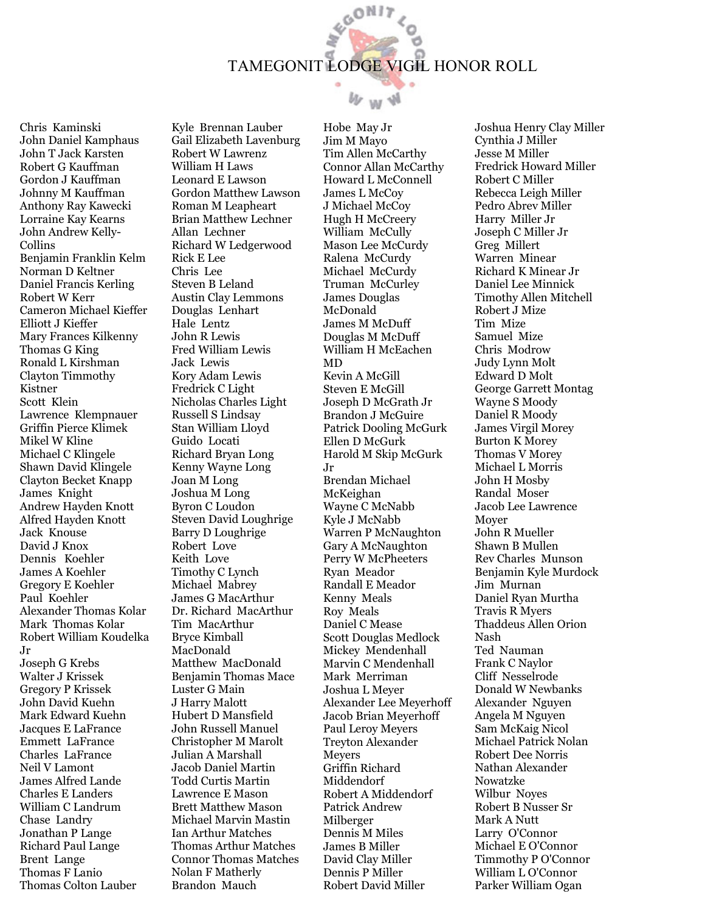

 $W$  w  $W$ 

Chris Kaminski John Daniel Kamphaus John T Jack Karsten Robert G Kauffman Gordon J Kauffman Johnny M Kauffman Anthony Ray Kawecki Lorraine Kay Kearns John Andrew Kelly-Collins Benjamin Franklin Kelm Norman D Keltner Daniel Francis Kerling Robert W Kerr Cameron Michael Kieffer Elliott J Kieffer Mary Frances Kilkenny Thomas G King Ronald L Kirshman Clayton Timmothy Kistner Scott Klein Lawrence Klempnauer Griffin Pierce Klimek Mikel W Kline Michael C Klingele Shawn David Klingele Clayton Becket Knapp James Knight Andrew Hayden Knott Alfred Hayden Knott Jack Knouse David J Knox Dennis Koehler James A Koehler Gregory E Koehler Paul Koehler Alexander Thomas Kolar Mark Thomas Kolar Robert William Koudelka Jr Joseph G Krebs

Walter J Krissek Gregory P Krissek John David Kuehn Mark Edward Kuehn Jacques E LaFrance Emmett LaFrance Charles LaFrance Neil V Lamont James Alfred Lande Charles E Landers William C Landrum Chase Landry Jonathan P Lange Richard Paul Lange Brent Lange Thomas F Lanio Thomas Colton Lauber Kyle Brennan Lauber Gail Elizabeth Lavenburg Robert W Lawrenz William H Laws Leonard E Lawson Gordon Matthew Lawson Roman M Leapheart Brian Matthew Lechner Allan Lechner Richard W Ledgerwood Rick E Lee Chris Lee Steven B Leland Austin Clay Lemmons Douglas Lenhart Hale Lentz John R Lewis Fred William Lewis Jack Lewis Kory Adam Lewis Fredrick C Light Nicholas Charles Light Russell S Lindsay Stan William Lloyd Guido Locati Richard Bryan Long Kenny Wayne Long Joan M Long Joshua M Long Byron C Loudon Steven David Loughrige Barry D Loughrige Robert Love Keith Love Timothy C Lynch Michael Mabrey James G MacArthur Dr. Richard MacArthur Tim MacArthur Bryce Kimball MacDonald Matthew MacDonald Benjamin Thomas Mace Luster G Main J Harry Malott Hubert D Mansfield John Russell Manuel Christopher M Marolt Julian A Marshall Jacob Daniel Martin Todd Curtis Martin Lawrence E Mason Brett Matthew Mason Michael Marvin Mastin Ian Arthur Matches Thomas Arthur Matches Connor Thomas Matches Nolan F Matherly Brandon Mauch

Hobe May Jr Jim M Mayo Tim Allen McCarthy Connor Allan McCarthy Howard L McConnell James L McCoy J Michael McCoy Hugh H McCreery William McCully Mason Lee McCurdy Ralena McCurdy Michael McCurdy Truman McCurley James Douglas McDonald James M McDuff Douglas M McDuff William H McEachen MD Kevin A McGill Steven E McGill Joseph D McGrath Jr Brandon J McGuire Patrick Dooling McGurk Ellen D McGurk Harold M Skip McGurk Jr Brendan Michael McKeighan Wayne C McNabb Kyle J McNabb Warren P McNaughton Gary A McNaughton Perry W McPheeters Ryan Meador Randall E Meador Kenny Meals Roy Meals Daniel C Mease Scott Douglas Medlock Mickey Mendenhall Marvin C Mendenhall Mark Merriman Joshua L Meyer Alexander Lee Meyerhoff Jacob Brian Meyerhoff Paul Leroy Meyers Treyton Alexander **Mevers** Griffin Richard Middendorf Robert A Middendorf Patrick Andrew Milberger Dennis M Miles James B Miller David Clay Miller Dennis P Miller Robert David Miller

Joshua Henry Clay Miller Cynthia J Miller Jesse M Miller Fredrick Howard Miller Robert C Miller Rebecca Leigh Miller Pedro Abrev Miller Harry Miller Jr Joseph C Miller Jr Greg Millert Warren Minear Richard K Minear Jr Daniel Lee Minnick Timothy Allen Mitchell Robert J Mize Tim Mize Samuel Mize Chris Modrow Judy Lynn Molt Edward D Molt George Garrett Montag Wayne S Moody Daniel R Moody James Virgil Morey Burton K Morey Thomas V Morey Michael L Morris John H Mosby Randal Moser Jacob Lee Lawrence Moyer John R Mueller Shawn B Mullen Rev Charles Munson Benjamin Kyle Murdock Jim Murnan Daniel Ryan Murtha Travis R Myers Thaddeus Allen Orion Nash Ted Nauman Frank C Naylor Cliff Nesselrode Donald W Newbanks Alexander Nguyen Angela M Nguyen Sam McKaig Nicol Michael Patrick Nolan Robert Dee Norris Nathan Alexander Nowatzke Wilbur Noyes Robert B Nusser Sr Mark A Nutt Larry O'Connor Michael E O'Connor Timmothy P O'Connor William L O'Connor Parker William Ogan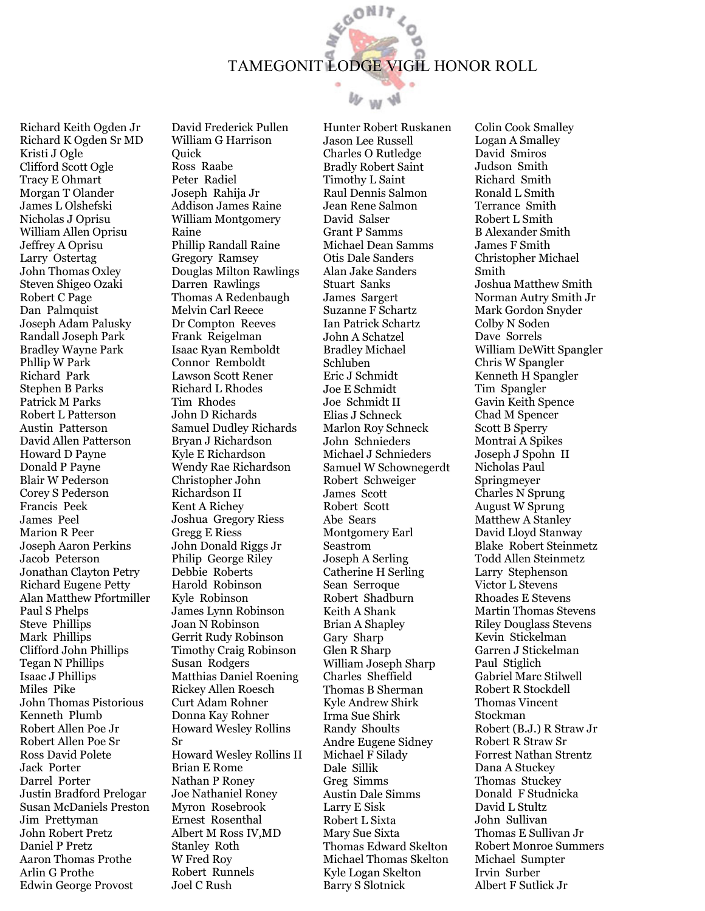

 $W_W W$ 

Richard Keith Ogden Jr Richard K Ogden Sr MD Kristi J Ogle Clifford Scott Ogle Tracy E Ohmart Morgan T Olander James L Olshefski Nicholas J Oprisu William Allen Oprisu Jeffrey A Oprisu Larry Ostertag John Thomas Oxley Steven Shigeo Ozaki Robert C Page Dan Palmquist Joseph Adam Palusky Randall Joseph Park Bradley Wayne Park Phllip W Park Richard Park Stephen B Parks Patrick M Parks Robert L Patterson Austin Patterson David Allen Patterson Howard D Payne Donald P Payne Blair W Pederson Corey S Pederson Francis Peek James Peel Marion R Peer Joseph Aaron Perkins Jacob Peterson Jonathan Clayton Petry Richard Eugene Petty Alan Matthew Pfortmiller Paul S Phelps Steve Phillips Mark Phillips Clifford John Phillips Tegan N Phillips Isaac J Phillips Miles Pike John Thomas Pistorious Kenneth Plumb Robert Allen Poe Jr Robert Allen Poe Sr Ross David Polete Jack Porter Darrel Porter Justin Bradford Prelogar Susan McDaniels Preston Jim Prettyman John Robert Pretz Daniel P Pretz Aaron Thomas Prothe Arlin G Prothe Edwin George Provost

David Frederick Pullen William G Harrison **Ouick** Ross Raabe Peter Radiel Joseph Rahija Jr Addison James Raine William Montgomery Raine Phillip Randall Raine Gregory Ramsey Douglas Milton Rawlings Darren Rawlings Thomas A Redenbaugh Melvin Carl Reece Dr Compton Reeves Frank Reigelman Isaac Ryan Remboldt Connor Remboldt Lawson Scott Rener Richard L Rhodes Tim Rhodes John D Richards Samuel Dudley Richards Bryan J Richardson Kyle E Richardson Wendy Rae Richardson Christopher John Richardson II Kent A Richey Joshua Gregory Riess Gregg E Riess John Donald Riggs Jr Philip George Riley Debbie Roberts Harold Robinson Kyle Robinson James Lynn Robinson Joan N Robinson Gerrit Rudy Robinson Timothy Craig Robinson Susan Rodgers Matthias Daniel Roening Rickey Allen Roesch Curt Adam Rohner Donna Kay Rohner Howard Wesley Rollins Sr Howard Wesley Rollins II Brian E Rome Nathan P Roney Joe Nathaniel Roney Myron Rosebrook Ernest Rosenthal Albert M Ross IV,MD Stanley Roth W Fred Roy Robert Runnels Joel C Rush

Hunter Robert Ruskanen Jason Lee Russell Charles O Rutledge Bradly Robert Saint Timothy L Saint Raul Dennis Salmon Jean Rene Salmon David Salser Grant P Samms Michael Dean Samms Otis Dale Sanders Alan Jake Sanders Stuart Sanks James Sargert Suzanne F Schartz Ian Patrick Schartz John A Schatzel Bradley Michael Schluben Eric J Schmidt Joe E Schmidt Joe Schmidt II Elias J Schneck Marlon Roy Schneck John Schnieders Michael J Schnieders Samuel W Schownegerdt Robert Schweiger James Scott Robert Scott Abe Sears Montgomery Earl Seastrom Joseph A Serling Catherine H Serling Sean Serroque Robert Shadburn Keith A Shank Brian A Shapley Gary Sharp Glen R Sharp William Joseph Sharp Charles Sheffield Thomas B Sherman Kyle Andrew Shirk Irma Sue Shirk Randy Shoults Andre Eugene Sidney Michael F Silady Dale Sillik Greg Simms Austin Dale Simms Larry E Sisk Robert L Sixta Mary Sue Sixta Thomas Edward Skelton Michael Thomas Skelton Kyle Logan Skelton Barry S Slotnick

Colin Cook Smalley Logan A Smalley David Smiros Judson Smith Richard Smith Ronald L Smith Terrance Smith Robert L Smith B Alexander Smith James F Smith Christopher Michael Smith Joshua Matthew Smith Norman Autry Smith Jr Mark Gordon Snyder Colby N Soden Dave Sorrels William DeWitt Spangler Chris W Spangler Kenneth H Spangler Tim Spangler Gavin Keith Spence Chad M Spencer Scott B Sperry Montrai A Spikes Joseph J Spohn II Nicholas Paul Springmeyer Charles N Sprung August W Sprung Matthew A Stanley David Lloyd Stanway Blake Robert Steinmetz Todd Allen Steinmetz Larry Stephenson Victor L Stevens Rhoades E Stevens Martin Thomas Stevens Riley Douglass Stevens Kevin Stickelman Garren J Stickelman Paul Stiglich Gabriel Marc Stilwell Robert R Stockdell Thomas Vincent Stockman Robert (B.J.) R Straw Jr Robert R Straw Sr Forrest Nathan Strentz Dana A Stuckey Thomas Stuckey Donald F Studnicka David L Stultz John Sullivan Thomas E Sullivan Jr Robert Monroe Summers Michael Sumpter Irvin Surber Albert F Sutlick Jr